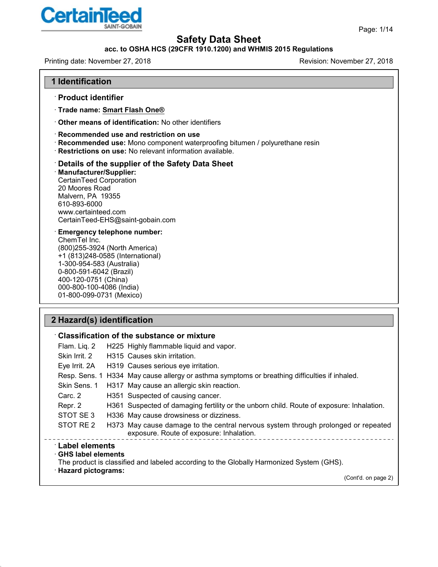

Page: 1/14

# **Safety Data Sheet**

### **acc. to OSHA HCS (29CFR 1910.1200) and WHMIS 2015 Regulations**

Printing date: November 27, 2018 **Printing date: November 27, 2018** 

#### **1 Identification**

- · **Product identifier**
- · **Trade name: Smart Flash One®**
- · **Other means of identification:** No other identifiers

#### · **Recommended use and restriction on use**

- · **Recommended use:** Mono component waterproofing bitumen / polyurethane resin
- · **Restrictions on use:** No relevant information available.

### · **Details of the supplier of the Safety Data Sheet**

· **Manufacturer/Supplier:** CertainTeed Corporation 20 Moores Road Malvern, PA 19355 610-893-6000 www.certainteed.com CertainTeed-EHS@saint-gobain.com

· **Emergency telephone number:** ChemTel Inc. (800)255-3924 (North America) +1 (813)248-0585 (International) 1-300-954-583 (Australia) 0-800-591-6042 (Brazil) 400-120-0751 (China) 000-800-100-4086 (India) 01-800-099-0731 (Mexico)

## **2 Hazard(s) identification**

48.0

 $\sim$  .

|                                                                                 | $\, \cdot \,$ Classification of the substance or mixture                                                                      |
|---------------------------------------------------------------------------------|-------------------------------------------------------------------------------------------------------------------------------|
| Flam. Liq. 2                                                                    | H225 Highly flammable liquid and vapor.                                                                                       |
| Skin Irrit, 2                                                                   | H315 Causes skin irritation.                                                                                                  |
| Eye Irrit. 2A                                                                   | H319 Causes serious eye irritation.                                                                                           |
|                                                                                 | Resp. Sens. 1 H334 May cause allergy or asthma symptoms or breathing difficulties if inhaled.                                 |
| Skin Sens. 1                                                                    | H317 May cause an allergic skin reaction.                                                                                     |
| Carc. 2                                                                         | H351 Suspected of causing cancer.                                                                                             |
| Repr. 2                                                                         | H361 Suspected of damaging fertility or the unborn child. Route of exposure: Inhalation.                                      |
| STOT SE3                                                                        | H336 May cause drowsiness or dizziness.                                                                                       |
| STOT RE 2                                                                       | H373 May cause damage to the central nervous system through prolonged or repeated<br>exposure. Route of exposure: Inhalation. |
| $^{\cdot}$ Label elements<br>$\cdot$ GHS label elements<br>· Hazard pictograms: | The product is classified and labeled according to the Globally Harmonized System (GHS).                                      |
|                                                                                 | (Cont'd. on page 2)                                                                                                           |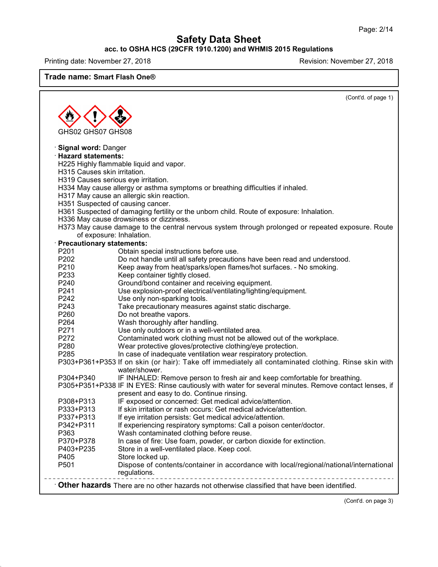### **acc. to OSHA HCS (29CFR 1910.1200) and WHMIS 2015 Regulations**

Printing date: November 27, 2018 **Printing date: November 27, 2018** 

**Trade name: Smart Flash One®**

|                                     | (Cont'd. of page 1)                                                                                                                 |
|-------------------------------------|-------------------------------------------------------------------------------------------------------------------------------------|
|                                     |                                                                                                                                     |
|                                     |                                                                                                                                     |
| GHS02 GHS07 GHS08                   |                                                                                                                                     |
|                                     |                                                                                                                                     |
| Signal word: Danger                 |                                                                                                                                     |
| · Hazard statements:                |                                                                                                                                     |
|                                     | H225 Highly flammable liquid and vapor.                                                                                             |
| H315 Causes skin irritation.        |                                                                                                                                     |
| H319 Causes serious eye irritation. |                                                                                                                                     |
|                                     | H334 May cause allergy or asthma symptoms or breathing difficulties if inhaled.                                                     |
|                                     | H317 May cause an allergic skin reaction.                                                                                           |
| H351 Suspected of causing cancer.   |                                                                                                                                     |
|                                     | H361 Suspected of damaging fertility or the unborn child. Route of exposure: Inhalation.<br>H336 May cause drowsiness or dizziness. |
|                                     | H373 May cause damage to the central nervous system through prolonged or repeated exposure. Route                                   |
| of exposure: Inhalation.            |                                                                                                                                     |
| · Precautionary statements:         |                                                                                                                                     |
| P201                                | Obtain special instructions before use.                                                                                             |
| P202                                | Do not handle until all safety precautions have been read and understood.                                                           |
| P210                                | Keep away from heat/sparks/open flames/hot surfaces. - No smoking.                                                                  |
| P233                                | Keep container tightly closed.                                                                                                      |
| P240                                | Ground/bond container and receiving equipment.                                                                                      |
| P <sub>241</sub>                    | Use explosion-proof electrical/ventilating/lighting/equipment.                                                                      |
| P242                                | Use only non-sparking tools.                                                                                                        |
| P243                                | Take precautionary measures against static discharge.                                                                               |
| P260                                | Do not breathe vapors.                                                                                                              |
| P264                                | Wash thoroughly after handling.                                                                                                     |
| P271<br>P272                        | Use only outdoors or in a well-ventilated area.<br>Contaminated work clothing must not be allowed out of the workplace.             |
| P280                                | Wear protective gloves/protective clothing/eye protection.                                                                          |
| P285                                | In case of inadequate ventilation wear respiratory protection.                                                                      |
|                                     | P303+P361+P353 If on skin (or hair): Take off immediately all contaminated clothing. Rinse skin with                                |
|                                     | water/shower.                                                                                                                       |
| P304+P340                           | IF INHALED: Remove person to fresh air and keep comfortable for breathing.                                                          |
|                                     | P305+P351+P338 IF IN EYES: Rinse cautiously with water for several minutes. Remove contact lenses, if                               |
|                                     | present and easy to do. Continue rinsing.                                                                                           |
| P308+P313                           | IF exposed or concerned: Get medical advice/attention.                                                                              |
| P333+P313                           | If skin irritation or rash occurs: Get medical advice/attention.                                                                    |
| P337+P313                           | If eye irritation persists: Get medical advice/attention.                                                                           |
| P342+P311                           | If experiencing respiratory symptoms: Call a poison center/doctor.                                                                  |
| P363                                | Wash contaminated clothing before reuse.                                                                                            |
| P370+P378                           | In case of fire: Use foam, powder, or carbon dioxide for extinction.                                                                |
| P403+P235                           | Store in a well-ventilated place. Keep cool.                                                                                        |
| P405<br>P501                        | Store locked up.                                                                                                                    |
|                                     | Dispose of contents/container in accordance with local/regional/national/international<br>regulations.                              |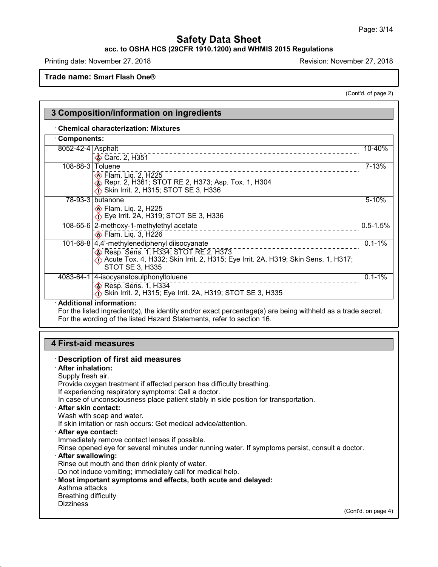### **acc. to OSHA HCS (29CFR 1910.1200) and WHMIS 2015 Regulations**

Printing date: November 27, 2018 Revision: November 27, 2018

**Trade name: Smart Flash One®**

(Cont'd. of page 2)

| <b>Components:</b> |                                                                                                                                                                                                                             |              |
|--------------------|-----------------------------------------------------------------------------------------------------------------------------------------------------------------------------------------------------------------------------|--------------|
| 8052-42-4 Asphalt  | Carc. 2, H351                                                                                                                                                                                                               | 10-40%       |
| $108 - 88 - 3$     | Toluene<br><b>♦ Flam. Lig. 2, H225</b><br>◈ Repr. 2, H361; STOT RE 2, H373; Asp. Tox. 1, H304<br>Skin Irrit. 2, H315; STOT SE 3, H336                                                                                       | $7 - 13%$    |
|                    | 78-93-3 butanone<br><b>♦ Flam. Lig. 2, H225</b><br>$\langle$ Eye Irrit. 2A, H319; STOT SE 3, H336                                                                                                                           | $5 - 10%$    |
|                    | 108-65-6 2-methoxy-1-methylethyl acetate<br><b> ◆ Flam. Lig. 3, H226</b>                                                                                                                                                    | $0.5 - 1.5%$ |
|                    | 101-68-8 4,4'-methylenediphenyl diisocyanate<br>Resp. Sens. 1, H334; STOT RE 2, H373<br>$\langle \cdot \rangle$ Acute Tox. 4, H332; Skin Irrit. 2, H315; Eye Irrit. 2A, H319; Skin Sens. 1, H317;<br><b>STOT SE 3, H335</b> | $0.1 - 1\%$  |
|                    | 4083-64-1 4-isocyanatosulphonyltoluene<br>$\diamond$ Resp. Sens. 1, H334<br>Skin Irrit. 2, H315; Eye Irrit. 2A, H319; STOT SE 3, H335                                                                                       | $0.1 - 1%$   |

# **4 First-aid measures**

48.0

#### · **Description of first aid measures** · **After inhalation:** Supply fresh air. Provide oxygen treatment if affected person has difficulty breathing. If experiencing respiratory symptoms: Call a doctor. In case of unconsciousness place patient stably in side position for transportation. · **After skin contact:** Wash with soap and water. If skin irritation or rash occurs: Get medical advice/attention. · **After eye contact:** Immediately remove contact lenses if possible. Rinse opened eye for several minutes under running water. If symptoms persist, consult a doctor. · **After swallowing:** Rinse out mouth and then drink plenty of water. Do not induce vomiting; immediately call for medical help. · **Most important symptoms and effects, both acute and delayed:** Asthma attacks Breathing difficulty **Dizziness** (Cont'd. on page 4)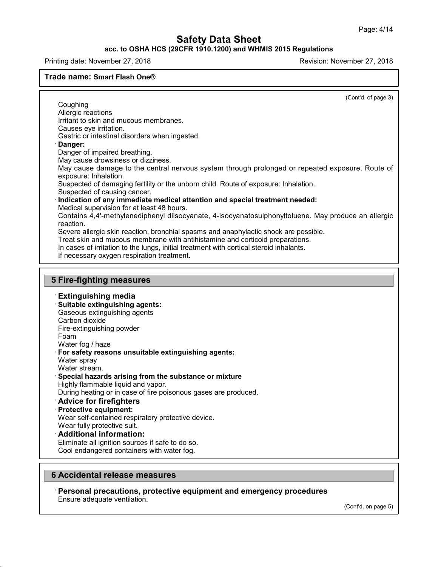#### **acc. to OSHA HCS (29CFR 1910.1200) and WHMIS 2015 Regulations**

Printing date: November 27, 2018 Revision: November 27, 2018

**Trade name: Smart Flash One®**

48.0

(Cont'd. of page 3)

**Coughing** Allergic reactions Irritant to skin and mucous membranes. Causes eye irritation. Gastric or intestinal disorders when ingested. · **Danger:** Danger of impaired breathing. May cause drowsiness or dizziness. May cause damage to the central nervous system through prolonged or repeated exposure. Route of exposure: Inhalation. Suspected of damaging fertility or the unborn child. Route of exposure: Inhalation. Suspected of causing cancer. · **Indication of any immediate medical attention and special treatment needed:** Medical supervision for at least 48 hours. Contains 4,4'-methylenediphenyl diisocyanate, 4-isocyanatosulphonyltoluene. May produce an allergic reaction. Severe allergic skin reaction, bronchial spasms and anaphylactic shock are possible. Treat skin and mucous membrane with antihistamine and corticoid preparations. In cases of irritation to the lungs, initial treatment with cortical steroid inhalants. If necessary oxygen respiration treatment. **5 Fire-fighting measures** · **Extinguishing media** · **Suitable extinguishing agents:** Gaseous extinguishing agents Carbon dioxide Fire-extinguishing powder Foam Water fog / haze · **For safety reasons unsuitable extinguishing agents:** Water spray Water stream. · **Special hazards arising from the substance or mixture** Highly flammable liquid and vapor. During heating or in case of fire poisonous gases are produced. · **Advice for firefighters** · **Protective equipment:** Wear self-contained respiratory protective device. Wear fully protective suit. · **Additional information:** Eliminate all ignition sources if safe to do so. Cool endangered containers with water fog. **6 Accidental release measures**

· **Personal precautions, protective equipment and emergency procedures** Ensure adequate ventilation.

(Cont'd. on page 5)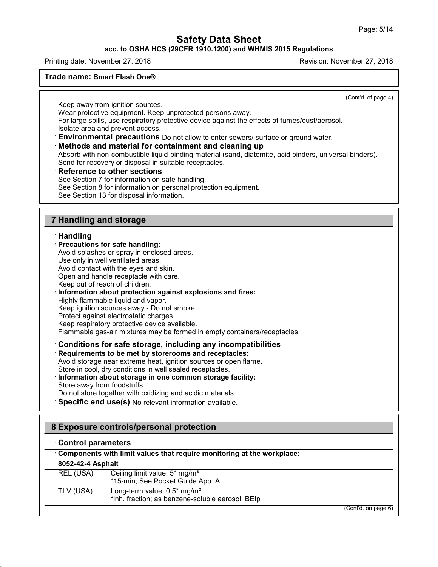**acc. to OSHA HCS (29CFR 1910.1200) and WHMIS 2015 Regulations**

Printing date: November 27, 2018 Revision: November 27, 2018

#### **Trade name: Smart Flash One®**

(Cont'd. of page 4)

Keep away from ignition sources.

Wear protective equipment. Keep unprotected persons away.

For large spills, use respiratory protective device against the effects of fumes/dust/aerosol.

Isolate area and prevent access.

· **Environmental precautions** Do not allow to enter sewers/ surface or ground water.

### · **Methods and material for containment and cleaning up**

Absorb with non-combustible liquid-binding material (sand, diatomite, acid binders, universal binders). Send for recovery or disposal in suitable receptacles.

### · **Reference to other sections**

See Section 7 for information on safe handling. See Section 8 for information on personal protection equipment. See Section 13 for disposal information.

### **7 Handling and storage**

#### · **Handling**

#### · **Precautions for safe handling:**

Avoid splashes or spray in enclosed areas.

Use only in well ventilated areas.

Avoid contact with the eyes and skin.

Open and handle receptacle with care.

Keep out of reach of children.

#### · **Information about protection against explosions and fires:**

Highly flammable liquid and vapor.

Keep ignition sources away - Do not smoke.

Protect against electrostatic charges.

Keep respiratory protective device available.

Flammable gas-air mixtures may be formed in empty containers/receptacles.

# · **Conditions for safe storage, including any incompatibilities**

· **Requirements to be met by storerooms and receptacles:**

Avoid storage near extreme heat, ignition sources or open flame.

Store in cool, dry conditions in well sealed receptacles.

#### · **Information about storage in one common storage facility:** Store away from foodstuffs.

Do not store together with oxidizing and acidic materials.

· **Specific end use(s)** No relevant information available.

### **8 Exposure controls/personal protection**

#### · **Control parameters**

| Components with limit values that require monitoring at the workplace: |                                                                                             |  |
|------------------------------------------------------------------------|---------------------------------------------------------------------------------------------|--|
| 8052-42-4 Asphalt                                                      |                                                                                             |  |
| REL (USA)                                                              | Ceiling limit value: 5* mg/m <sup>3</sup><br>*15-min; See Pocket Guide App. A               |  |
| TLV (USA)                                                              | Long-term value: 0.5* mg/m <sup>3</sup><br>*inh. fraction; as benzene-soluble aerosol; BEIp |  |
|                                                                        | (Cont'd. on page 6)                                                                         |  |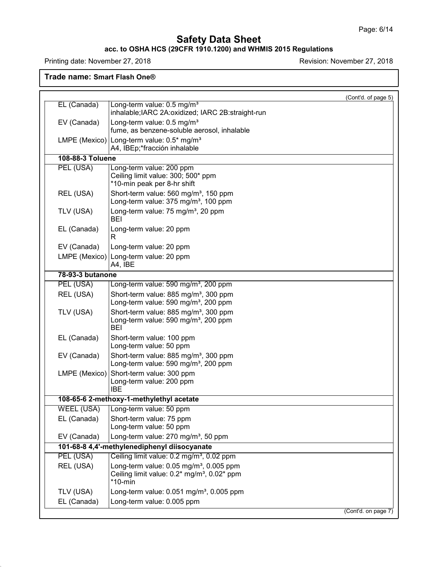#### **acc. to OSHA HCS (29CFR 1910.1200) and WHMIS 2015 Regulations**

Printing date: November 27, 2018 **Printing date: November 27, 2018** 

**Trade name: Smart Flash One®**

|                   | (Cont'd. of page 5)                                                                                                              |
|-------------------|----------------------------------------------------------------------------------------------------------------------------------|
| EL (Canada)       | Long-term value: 0.5 mg/m <sup>3</sup><br>inhalable; IARC 2A: oxidized; IARC 2B: straight-run                                    |
| EV (Canada)       | Long-term value: 0.5 mg/m <sup>3</sup><br>fume, as benzene-soluble aerosol, inhalable                                            |
| LMPE (Mexico)     | Long-term value: 0.5* mg/m <sup>3</sup><br>A4, IBEp;*fracción inhalable                                                          |
| 108-88-3 Toluene  |                                                                                                                                  |
| PEL (USA)         | Long-term value: 200 ppm<br>Ceiling limit value: 300; 500* ppm<br>*10-min peak per 8-hr shift                                    |
| REL (USA)         | Short-term value: 560 mg/m <sup>3</sup> , 150 ppm<br>Long-term value: 375 mg/m <sup>3</sup> , 100 ppm                            |
| TLV (USA)         | Long-term value: 75 mg/m <sup>3</sup> , 20 ppm<br>BEI                                                                            |
| EL (Canada)       | Long-term value: 20 ppm<br>R                                                                                                     |
| EV (Canada)       | Long-term value: 20 ppm                                                                                                          |
| LMPE (Mexico)     | Long-term value: 20 ppm<br>A4, IBE                                                                                               |
| 78-93-3 butanone  |                                                                                                                                  |
| PEL (USA)         | Long-term value: 590 mg/m <sup>3</sup> , 200 ppm                                                                                 |
| REL (USA)         | Short-term value: 885 mg/m <sup>3</sup> , 300 ppm<br>Long-term value: 590 mg/m <sup>3</sup> , 200 ppm                            |
| TLV (USA)         | Short-term value: 885 mg/m <sup>3</sup> , 300 ppm<br>Long-term value: 590 mg/m <sup>3</sup> , 200 ppm<br>BEI                     |
| EL (Canada)       | Short-term value: 100 ppm<br>Long-term value: 50 ppm                                                                             |
| EV (Canada)       | Short-term value: 885 mg/m <sup>3</sup> , 300 ppm<br>Long-term value: 590 mg/m <sup>3</sup> , 200 ppm                            |
| LMPE (Mexico)     | Short-term value: 300 ppm<br>Long-term value: 200 ppm<br><b>IBE</b>                                                              |
|                   | 108-65-6 2-methoxy-1-methylethyl acetate                                                                                         |
| <b>WEEL (USA)</b> | Long-term value: 50 ppm                                                                                                          |
| EL (Canada)       | Short-term value: 75 ppm<br>Long-term value: 50 ppm                                                                              |
| EV (Canada)       | Long-term value: 270 mg/m <sup>3</sup> , 50 ppm                                                                                  |
|                   | 101-68-8 4,4'-methylenediphenyl diisocyanate                                                                                     |
| PEL (USA)         | Ceiling limit value: 0.2 mg/m <sup>3</sup> , 0.02 ppm                                                                            |
| REL (USA)         | Long-term value: $0.05$ mg/m <sup>3</sup> , $0.005$ ppm<br>Ceiling limit value: 0.2* mg/m <sup>3</sup> , 0.02* ppm<br>$*10$ -min |
| TLV (USA)         | Long-term value: $0.051$ mg/m <sup>3</sup> , $0.005$ ppm                                                                         |
|                   | Long-term value: 0.005 ppm                                                                                                       |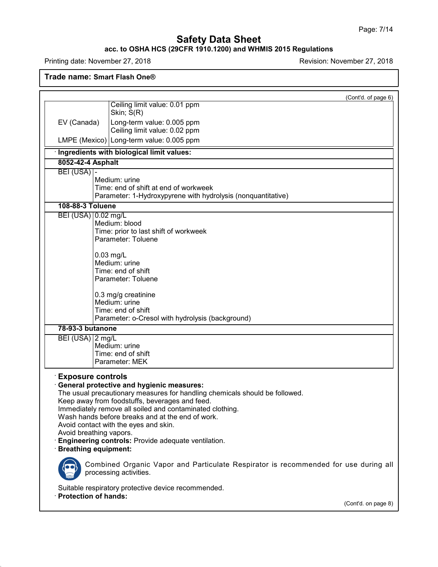#### **acc. to OSHA HCS (29CFR 1910.1200) and WHMIS 2015 Regulations**

Printing date: November 27, 2018 **Printing date: November 27, 2018** 

**Trade name: Smart Flash One®**

|                                                                                    |                                                                                                                                                                                                                                                                                                                                                                                                   | (Cont'd. of page 6) |
|------------------------------------------------------------------------------------|---------------------------------------------------------------------------------------------------------------------------------------------------------------------------------------------------------------------------------------------------------------------------------------------------------------------------------------------------------------------------------------------------|---------------------|
|                                                                                    | Ceiling limit value: 0.01 ppm<br>Skin; S(R)                                                                                                                                                                                                                                                                                                                                                       |                     |
| EV (Canada)                                                                        | Long-term value: 0.005 ppm<br>Ceiling limit value: 0.02 ppm                                                                                                                                                                                                                                                                                                                                       |                     |
|                                                                                    | LMPE (Mexico) Long-term value: 0.005 ppm                                                                                                                                                                                                                                                                                                                                                          |                     |
|                                                                                    | · Ingredients with biological limit values:                                                                                                                                                                                                                                                                                                                                                       |                     |
| 8052-42-4 Asphalt                                                                  |                                                                                                                                                                                                                                                                                                                                                                                                   |                     |
| $BEI (USA)$ -                                                                      | Medium: urine<br>Time: end of shift at end of workweek<br>Parameter: 1-Hydroxypyrene with hydrolysis (nonquantitative)                                                                                                                                                                                                                                                                            |                     |
| 108-88-3 Toluene                                                                   |                                                                                                                                                                                                                                                                                                                                                                                                   |                     |
| BEI (USA) 0.02 mg/L                                                                | Medium: blood<br>Time: prior to last shift of workweek<br>Parameter: Toluene                                                                                                                                                                                                                                                                                                                      |                     |
|                                                                                    | $0.03$ mg/L<br>Medium: urine<br>Time: end of shift<br>Parameter: Toluene                                                                                                                                                                                                                                                                                                                          |                     |
|                                                                                    | 0.3 mg/g creatinine<br>Medium: urine<br>Time: end of shift<br>Parameter: o-Cresol with hydrolysis (background)                                                                                                                                                                                                                                                                                    |                     |
| 78-93-3 butanone                                                                   |                                                                                                                                                                                                                                                                                                                                                                                                   |                     |
| BEI (USA) 2 mg/L                                                                   | Medium: urine<br>Time: end of shift<br>Parameter: MEK                                                                                                                                                                                                                                                                                                                                             |                     |
| <b>Exposure controls</b><br>Avoid breathing vapors.<br><b>Breathing equipment:</b> | General protective and hygienic measures:<br>The usual precautionary measures for handling chemicals should be followed.<br>Keep away from foodstuffs, beverages and feed.<br>Immediately remove all soiled and contaminated clothing.<br>Wash hands before breaks and at the end of work.<br>Avoid contact with the eyes and skin.<br><b>Engineering controls:</b> Provide adequate ventilation. |                     |
|                                                                                    | Combined Organic Vapor and Particulate Respirator is recommended for use during all<br>processing activities.                                                                                                                                                                                                                                                                                     |                     |
|                                                                                    | Suitable respiratory protective device recommended.                                                                                                                                                                                                                                                                                                                                               |                     |
| · Protection of hands:                                                             |                                                                                                                                                                                                                                                                                                                                                                                                   | (Cont'd. on page 8) |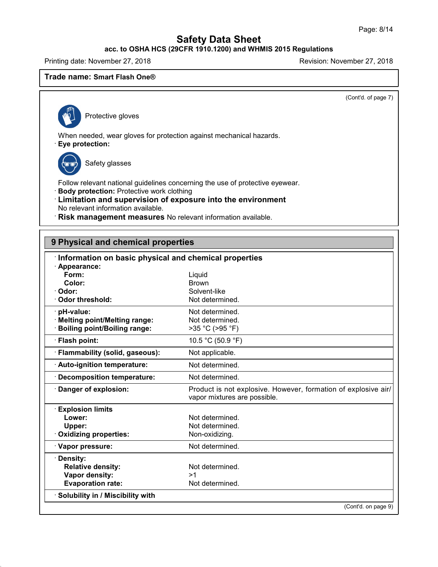# **acc. to OSHA HCS (29CFR 1910.1200) and WHMIS 2015 Regulations**

Printing date: November 27, 2018 **Principal and Principal According Contract Contract Principal According Principal According Principal According Principal According Principal According Principal According Principal Accord** 

### **Trade name: Smart Flash One®**

(Cont'd. of page 7)

Protective gloves

When needed, wear gloves for protection against mechanical hazards.

· **Eye protection:**

48.0

Safety glasses

Follow relevant national guidelines concerning the use of protective eyewear.

- · **Body protection:** Protective work clothing
- · **Limitation and supervision of exposure into the environment** No relevant information available.
- · **Risk management measures** No relevant information available.

| 9 Physical and chemical properties                    |                                                                                                |
|-------------------------------------------------------|------------------------------------------------------------------------------------------------|
| Information on basic physical and chemical properties |                                                                                                |
| $\cdot$ Appearance:                                   |                                                                                                |
| Form:                                                 | Liquid                                                                                         |
| Color:                                                | <b>Brown</b>                                                                                   |
| Odor:                                                 | Solvent-like                                                                                   |
| Odor threshold:                                       | Not determined.                                                                                |
| pH-value:                                             | Not determined.                                                                                |
| <b>Melting point/Melting range:</b>                   | Not determined.                                                                                |
| <b>Boiling point/Boiling range:</b>                   | >35 °C (>95 °F)                                                                                |
| · Flash point:                                        | 10.5 °C (50.9 °F)                                                                              |
| · Flammability (solid, gaseous):                      | Not applicable.                                                                                |
| · Auto-ignition temperature:                          | Not determined.                                                                                |
| <b>Decomposition temperature:</b>                     | Not determined.                                                                                |
| Danger of explosion:                                  | Product is not explosive. However, formation of explosive air/<br>vapor mixtures are possible. |
| <b>Explosion limits</b>                               |                                                                                                |
| Lower:                                                | Not determined.                                                                                |
| Upper:                                                | Not determined.                                                                                |
| Oxidizing properties:                                 | Non-oxidizing.                                                                                 |
| · Vapor pressure:                                     | Not determined.                                                                                |
| · Density:                                            |                                                                                                |
| <b>Relative density:</b>                              | Not determined.                                                                                |
| Vapor density:                                        | >1                                                                                             |
| <b>Evaporation rate:</b>                              | Not determined.                                                                                |
| · Solubility in / Miscibility with                    |                                                                                                |
|                                                       | (Cont'd. on page 9)                                                                            |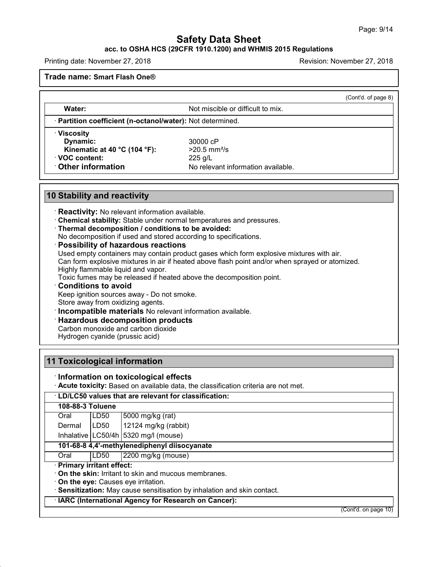(Cont'd. of page 8)

# **Safety Data Sheet**

# **acc. to OSHA HCS (29CFR 1910.1200) and WHMIS 2015 Regulations**

Printing date: November 27, 2018 Revision: November 27, 2018

**Trade name: Smart Flash One®**

**Water:** Water: Not miscible or difficult to mix.

· **Partition coefficient (n-octanol/water):** Not determined.

· **Viscosity**

**Dynamic:** 30000 cP **Kinematic at 40 °C (104 °F):** >20.5 mm²/s · **VOC content:** 225 g/L

**Other information** No relevant information available.

# **10 Stability and reactivity**

- · **Reactivity:** No relevant information available.
- · **Chemical stability:** Stable under normal temperatures and pressures.
- · **Thermal decomposition / conditions to be avoided:**
- No decomposition if used and stored according to specifications.

### · **Possibility of hazardous reactions**

Used empty containers may contain product gases which form explosive mixtures with air. Can form explosive mixtures in air if heated above flash point and/or when sprayed or atomized. Highly flammable liquid and vapor.

Toxic fumes may be released if heated above the decomposition point.

### · **Conditions to avoid**

Keep ignition sources away - Do not smoke.

Store away from oxidizing agents.

· **Incompatible materials** No relevant information available.

### · **Hazardous decomposition products**

Carbon monoxide and carbon dioxide

Hydrogen cyanide (prussic acid)

# **11 Toxicological information**

48.0

### · **Information on toxicological effects**

· **Acute toxicity:** Based on available data, the classification criteria are not met.

| · LD/LC50 values that are relevant for classification: |                          |                                                                          |  |
|--------------------------------------------------------|--------------------------|--------------------------------------------------------------------------|--|
| 108-88-3 Toluene                                       |                          |                                                                          |  |
| Oral                                                   | LD50                     | 5000 mg/kg (rat)                                                         |  |
| Dermal                                                 | ILD50                    | 12124 mg/kg (rabbit)                                                     |  |
|                                                        |                          | Inhalative $\lfloor$ LC50/4h $\rfloor$ 5320 mg/l (mouse)                 |  |
| 101-68-8 4,4'-methylenediphenyl diisocyanate           |                          |                                                                          |  |
| Oral                                                   | LD50                     | 2200 mg/kg (mouse)                                                       |  |
|                                                        | Primary irritant effect: |                                                                          |  |
|                                                        |                          | On the skin: Irritant to skin and mucous membranes.                      |  |
|                                                        |                          | On the eye: Causes eye irritation.                                       |  |
|                                                        |                          | · Sensitization: May cause sensitisation by inhalation and skin contact. |  |
| · IARC (International Agency for Research on Cancer):  |                          |                                                                          |  |
|                                                        |                          | $\sqrt{2}$ and $\sqrt{2}$ and $\sqrt{2}$<br>$\overline{A}$               |  |

(Cont'd. on page 10)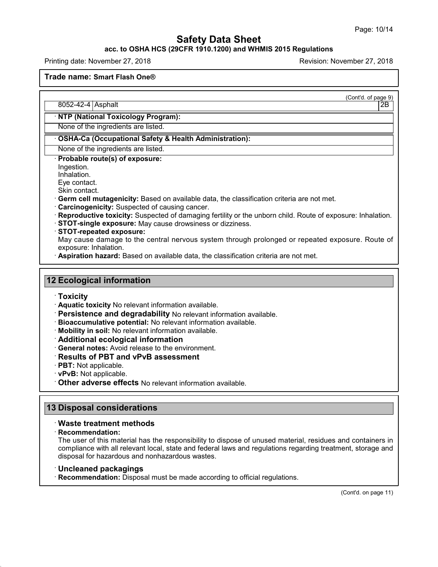### **acc. to OSHA HCS (29CFR 1910.1200) and WHMIS 2015 Regulations**

Printing date: November 27, 2018 Revision: November 27, 2018

**Trade name: Smart Flash One®**

(Cont'd. of page 9)

8052-42-4 Asphalt 2B

# · **NTP (National Toxicology Program):**

None of the ingredients are listed.

### · **OSHA-Ca (Occupational Safety & Health Administration):**

None of the ingredients are listed.

· **Probable route(s) of exposure:**

Ingestion.

Inhalation.

Eye contact.

Skin contact.

· **Germ cell mutagenicity:** Based on available data, the classification criteria are not met.

· **Carcinogenicity:** Suspected of causing cancer.

· **Reproductive toxicity:** Suspected of damaging fertility or the unborn child. Route of exposure: Inhalation.

· **STOT-single exposure:** May cause drowsiness ordizziness.

· **STOT-repeated exposure:**

May cause damage to the central nervous system through prolonged or repeated exposure. Route of exposure: Inhalation.

· **Aspiration hazard:** Based on available data, the classification criteria are not met.

### **12 Ecological information**

#### · **Toxicity**

- · **Aquatic toxicity** No relevant information available.
- · **Persistence and degradability** No relevant information available.
- · **Bioaccumulative potential:** No relevant information available.
- · **Mobility in soil:** No relevant information available.
- · **Additional ecological information**
- · **General notes:** Avoid release to the environment.
- · **Results of PBT and vPvB assessment**
- · **PBT:** Not applicable.
- · **vPvB:** Not applicable.
- · **Other adverse effects** No relevant information available.

### **13 Disposal considerations**

### · **Waste treatment methods**

· **Recommendation:**

48.0

The user of this material has the responsibility to dispose of unused material, residues and containers in compliance with all relevant local, state and federal laws and regulations regarding treatment, storage and disposal for hazardous and nonhazardous wastes.

- · **Uncleaned packagings**
- · **Recommendation:** Disposal must be made according to official regulations.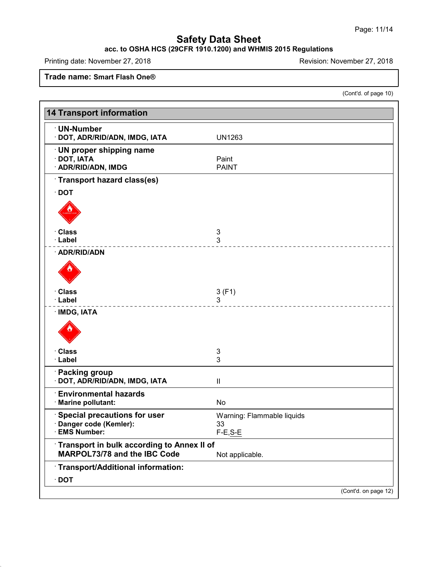#### **acc. to OSHA HCS (29CFR 1910.1200) and WHMIS 2015 Regulations**

Printing date: November 27, 2018 **Printing date: November 27, 2018** 

**Trade name: Smart Flash One®**

48.0

(Cont'd. of page 10)

| <b>14 Transport information</b>                                                   |                                                |
|-----------------------------------------------------------------------------------|------------------------------------------------|
| · UN-Number<br>· DOT, ADR/RID/ADN, IMDG, IATA                                     | <b>UN1263</b>                                  |
| <b>UN proper shipping name</b><br>$\cdot$ DOT, IATA<br>· ADR/RID/ADN, IMDG        | Paint<br><b>PAINT</b>                          |
| Transport hazard class(es)                                                        |                                                |
| $\cdot$ DOT                                                                       |                                                |
|                                                                                   |                                                |
| · Class                                                                           | 3                                              |
| · Label<br>· ADR/RID/ADN                                                          | 3                                              |
|                                                                                   |                                                |
| · Class                                                                           | 3(F1)                                          |
| · Label                                                                           | 3                                              |
| · IMDG, IATA                                                                      |                                                |
| · Class                                                                           | 3                                              |
| · Label                                                                           | 3                                              |
| · Packing group<br>· DOT, ADR/RID/ADN, IMDG, IATA                                 | $\sf II$                                       |
| <b>Environmental hazards</b><br>· Marine pollutant:                               | No                                             |
| <b>Special precautions for user</b><br>· Danger code (Kemler):<br>· EMS Number:   | Warning: Flammable liquids<br>33<br>$F-E, S-E$ |
| Transport in bulk according to Annex II of<br><b>MARPOL73/78 and the IBC Code</b> | Not applicable.                                |
| Transport/Additional information:<br>$\cdot$ DOT                                  |                                                |
|                                                                                   | (Cont'd. on page 12)                           |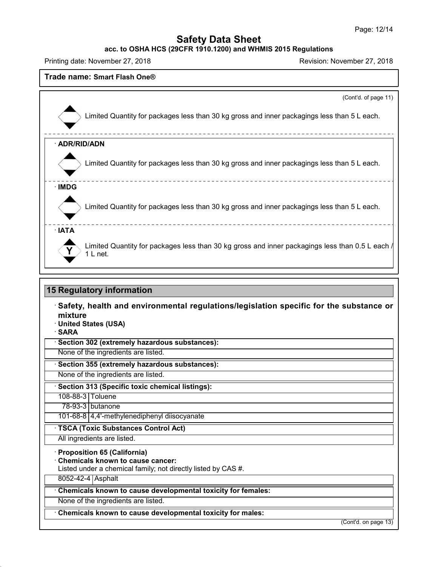**acc. to OSHA HCS (29CFR 1910.1200) and WHMIS 2015 Regulations**

Printing date: November 27, 2018 **Printing date: November 27, 2018** 

48.0

| Trade name: Smart Flash One®                                                                                                                                        |
|---------------------------------------------------------------------------------------------------------------------------------------------------------------------|
| (Cont'd. of page 11)                                                                                                                                                |
| Limited Quantity for packages less than 30 kg gross and inner packagings less than 5 L each.                                                                        |
| · ADR/RID/ADN                                                                                                                                                       |
| Limited Quantity for packages less than 30 kg gross and inner packagings less than 5 L each.                                                                        |
| · IMDG                                                                                                                                                              |
| Limited Quantity for packages less than 30 kg gross and inner packagings less than 5 L each.                                                                        |
| · IATA<br>Limited Quantity for packages less than 30 kg gross and inner packagings less than 0.5 L each /<br>$1 L$ net.                                             |
| <b>15 Regulatory information</b><br>Safety, health and environmental regulations/legislation specific for the substance or<br>mixture<br><b>United States (USA)</b> |
| <b>SARA</b><br>Section 302 (extremely hazardous substances):                                                                                                        |
| None of the ingredients are listed.                                                                                                                                 |
| Section 355 (extremely hazardous substances):                                                                                                                       |
| None of the ingredients are listed.                                                                                                                                 |
| Section 313 (Specific toxic chemical listings):                                                                                                                     |
| 108-88-3 Toluene<br>78-93-3 butanone                                                                                                                                |
| 101-68-8 4,4'-methylenediphenyl diisocyanate                                                                                                                        |
| · TSCA (Toxic Substances Control Act)                                                                                                                               |
| All ingredients are listed.                                                                                                                                         |
| <b>Proposition 65 (California)</b><br><b>Chemicals known to cause cancer:</b><br>Listed under a chemical family; not directly listed by CAS #.<br>8052-42-4 Asphalt |
| Chemicals known to cause developmental toxicity for females:                                                                                                        |
| None of the ingredients are listed.                                                                                                                                 |
| Chemicals known to cause developmental toxicity for males:                                                                                                          |
|                                                                                                                                                                     |

(Cont'd. on page 13)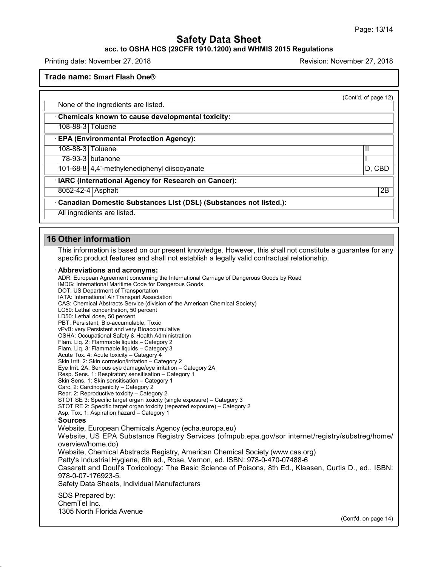#### **acc. to OSHA HCS (29CFR 1910.1200) and WHMIS 2015 Regulations**

Printing date: November 27, 2018 Revision: November 27, 2018

**Trade name: Smart Flash One®**

(Cont'd. of page 12)

None of the ingredients are listed.

· **Chemicals known to cause developmental toxicity:**

108-88-3 Toluene

· **EPA (Environmental Protection Agency):**

108-88-3 Toluene II

78-93-3 butanone I

101-68-8 4,4'-methylenediphenyl diisocyanate D, CBD

· **IARC (International Agency for Research on Cancer):**

8052-42-4 | Asphalt 2B

· **Canadian Domestic Substances List (DSL) (Substances not listed.):**

All ingredients are listed.

### **16 Other information**

48.0

This information is based on our present knowledge. However, this shall not constitute a guarantee for any specific product features and shall not establish a legally valid contractual relationship.

#### · **Abbreviations and acronyms:**

ADR: European Agreement concerning the International Carriage of Dangerous Goods by Road IMDG: International Maritime Code for Dangerous Goods DOT: US Department of Transportation IATA: International Air Transport Association CAS: Chemical Abstracts Service (division of the American Chemical Society) LC50: Lethal concentration, 50 percent LD50: Lethal dose, 50 percent PBT: Persistant, Bio-accumulable, Toxic vPvB: very Persistent and very Bioaccumulative OSHA: Occupational Safety & Health Administration Flam. Liq. 2: Flammable liquids – Category 2 Flam. Liq. 3: Flammable liquids – Category 3 Acute Tox. 4: Acute toxicity – Category 4 Skin Irrit. 2: Skin corrosion/irritation – Category 2 Eye Irrit.2A: Serious eye damage/eye irritation – Category 2A Resp. Sens. 1: Respiratory sensitisation – Category 1 Skin Sens. 1: Skin sensitisation – Category 1 Carc. 2: Carcinogenicity – Category 2 Repr. 2: Reproductive toxicity – Category 2 STOT SE 3: Specific target organ toxicity (single exposure) – Category 3 STOT RE 2: Specific target organ toxicity (repeated exposure) – Category 2 Asp. Tox. 1: Aspiration hazard – Category 1 · **Sources** Website, European Chemicals Agency (echa.europa.eu) Website, US EPA Substance Registry Services (ofmpub.epa.gov/sor internet/registry/substreg/home/ overview/home.do) Website, Chemical Abstracts Registry, American Chemical Society (www.cas.org) Patty's Industrial Hygiene, 6th ed., Rose, Vernon, ed. ISBN: 978-0-470-07488-6 Casarett and Doull's Toxicology: The Basic Science of Poisons, 8th Ed., Klaasen, Curtis D.,ed., ISBN: 978-0-07-176923-5. Safety Data Sheets, Individual Manufacturers SDS Prepared by: ChemTel Inc. 1305 North Florida Avenue (Cont'd. on page 14)